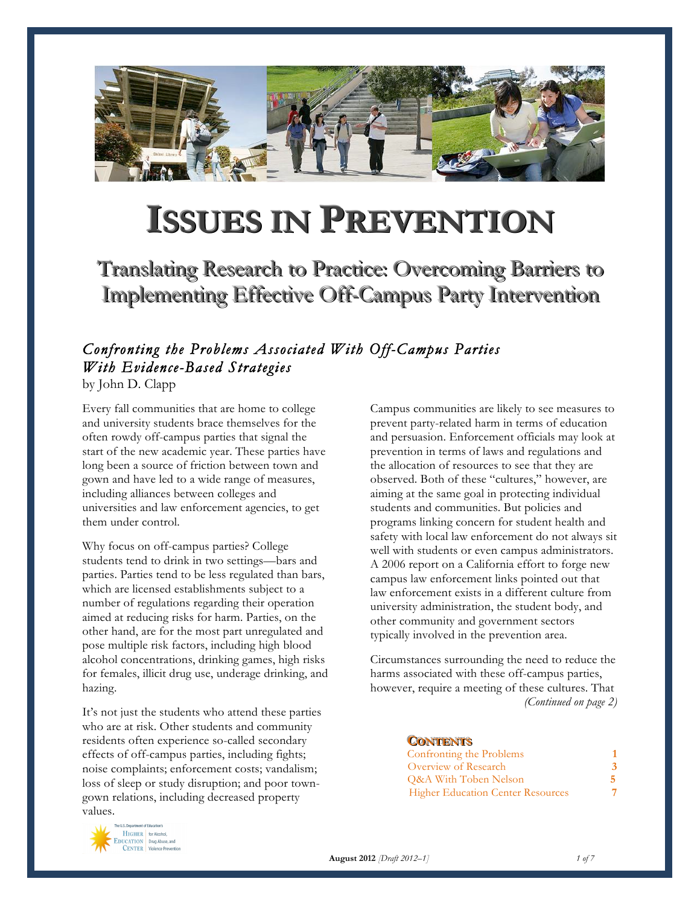

# **ISSUES IN PREVENTION**

Translating Research to Practice: Overcoming Barriers to Implementing Effective Off-Campus Party Intervention

## *Confronting the Problems Associated With Off-Campus Parties With Evidence-Based Strategies*

by John D. Clapp

Every fall communities that are home to college and university students brace themselves for the often rowdy off-campus parties that signal the start of the new academic year. These parties have long been a source of friction between town and gown and have led to a wide range of measures, including alliances between colleges and universities and law enforcement agencies, to get them under control.

Why focus on off-campus parties? College students tend to drink in two settings—bars and parties. Parties tend to be less regulated than bars, which are licensed establishments subject to a number of regulations regarding their operation aimed at reducing risks for harm. Parties, on the other hand, are for the most part unregulated and pose multiple risk factors, including high blood alcohol concentrations, drinking games, high risks for females, illicit drug use, underage drinking, and hazing.

It's not just the students who attend these parties who are at risk. Other students and community residents often experience so-called secondary effects of off-campus parties, including fights; noise complaints; enforcement costs; vandalism; loss of sleep or study disruption; and poor towngown relations, including decreased property values.

Campus communities are likely to see measures to prevent party-related harm in terms of education and persuasion. Enforcement officials may look at prevention in terms of laws and regulations and the allocation of resources to see that they are observed. Both of these "cultures," however, are aiming at the same goal in protecting individual students and communities. But policies and programs linking concern for student health and safety with local law enforcement do not always sit well with students or even campus administrators. A 2006 report on a California effort to forge new campus law enforcement links pointed out that law enforcement exists in a different culture from university administration, the student body, and other community and government sectors typically involved in the prevention area.

Circumstances surrounding the need to reduce the harms associated with these off-campus parties, however, require a meeting of these cultures. That *(Continued on page 2)*

#### **CONTENTS**

| Confronting the Problems                                 |  |
|----------------------------------------------------------|--|
| Overview of Research<br><b>Q&amp;A With Toben Nelson</b> |  |
|                                                          |  |



**August 2012** *[Draft 2012–1] 1 of 7*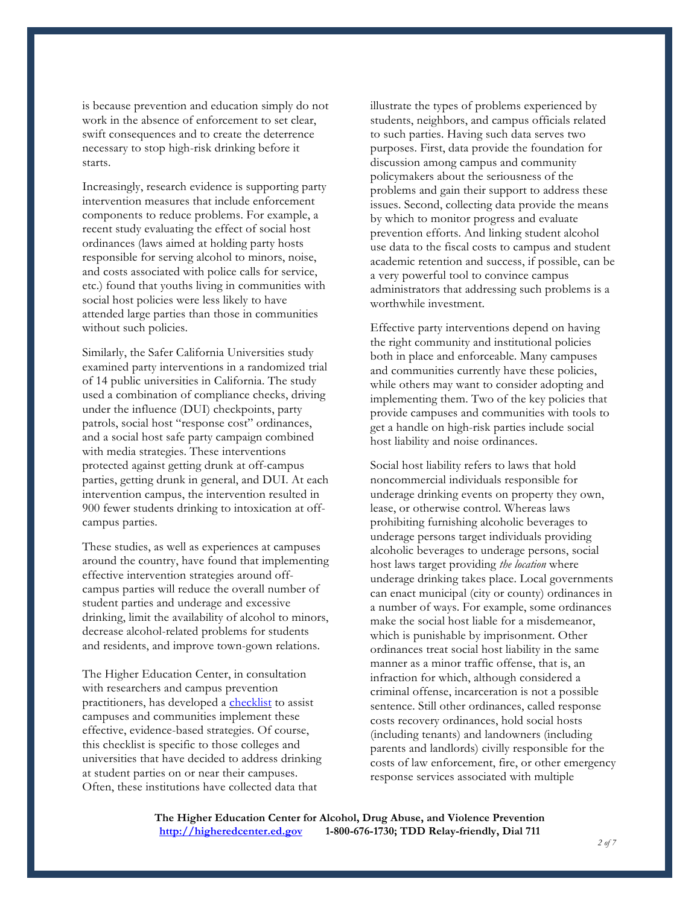is because prevention and education simply do not work in the absence of enforcement to set clear, swift consequences and to create the deterrence necessary to stop high-risk drinking before it starts.

Increasingly, research evidence is supporting party intervention measures that include enforcement components to reduce problems. For example, a recent study evaluating the effect of social host ordinances (laws aimed at holding party hosts responsible for serving alcohol to minors, noise, and costs associated with police calls for service, etc.) found that youths living in communities with social host policies were less likely to have attended large parties than those in communities without such policies.

Similarly, the Safer California Universities study examined party interventions in a randomized trial of 14 public universities in California. The study used a combination of compliance checks, driving under the influence (DUI) checkpoints, party patrols, social host "response cost" ordinances, and a social host safe party campaign combined with media strategies. These interventions protected against getting drunk at off-campus parties, getting drunk in general, and DUI. At each intervention campus, the intervention resulted in 900 fewer students drinking to intoxication at offcampus parties.

These studies, as well as experiences at campuses around the country, have found that implementing effective intervention strategies around offcampus parties will reduce the overall number of student parties and underage and excessive drinking, limit the availability of alcohol to minors, decrease alcohol-related problems for students and residents, and improve town-gown relations.

The Higher Education Center, in consultation with researchers and campus prevention practitioners, has developed a [checklist](http://higheredcenter.ed.gov/files/training_institutes/party-intervention-checklist.pdf) to assist campuses and communities implement these effective, evidence-based strategies. Of course, this checklist is specific to those colleges and universities that have decided to address drinking at student parties on or near their campuses. Often, these institutions have collected data that

illustrate the types of problems experienced by students, neighbors, and campus officials related to such parties. Having such data serves two purposes. First, data provide the foundation for discussion among campus and community policymakers about the seriousness of the problems and gain their support to address these issues. Second, collecting data provide the means by which to monitor progress and evaluate prevention efforts. And linking student alcohol use data to the fiscal costs to campus and student academic retention and success, if possible, can be a very powerful tool to convince campus administrators that addressing such problems is a worthwhile investment.

Effective party interventions depend on having the right community and institutional policies both in place and enforceable. Many campuses and communities currently have these policies, while others may want to consider adopting and implementing them. Two of the key policies that provide campuses and communities with tools to get a handle on high-risk parties include social host liability and noise ordinances.

Social host liability refers to laws that hold noncommercial individuals responsible for underage drinking events on property they own, lease, or otherwise control. Whereas laws prohibiting furnishing alcoholic beverages to underage persons target individuals providing alcoholic beverages to underage persons, social host laws target providing *the location* where underage drinking takes place. Local governments can enact municipal (city or county) ordinances in a number of ways. For example, some ordinances make the social host liable for a misdemeanor, which is punishable by imprisonment. Other ordinances treat social host liability in the same manner as a minor traffic offense, that is, an infraction for which, although considered a criminal offense, incarceration is not a possible sentence. Still other ordinances, called response costs recovery ordinances, hold social hosts (including tenants) and landowners (including parents and landlords) civilly responsible for the costs of law enforcement, fire, or other emergency response services associated with multiple

**The Higher Education Center for Alcohol, Drug Abuse, and Violence Prevention http://higheredcenter.ed.gov 1-800-676-1730; TDD Relay-friendly, Dial 711** *<sup>2</sup> of 7*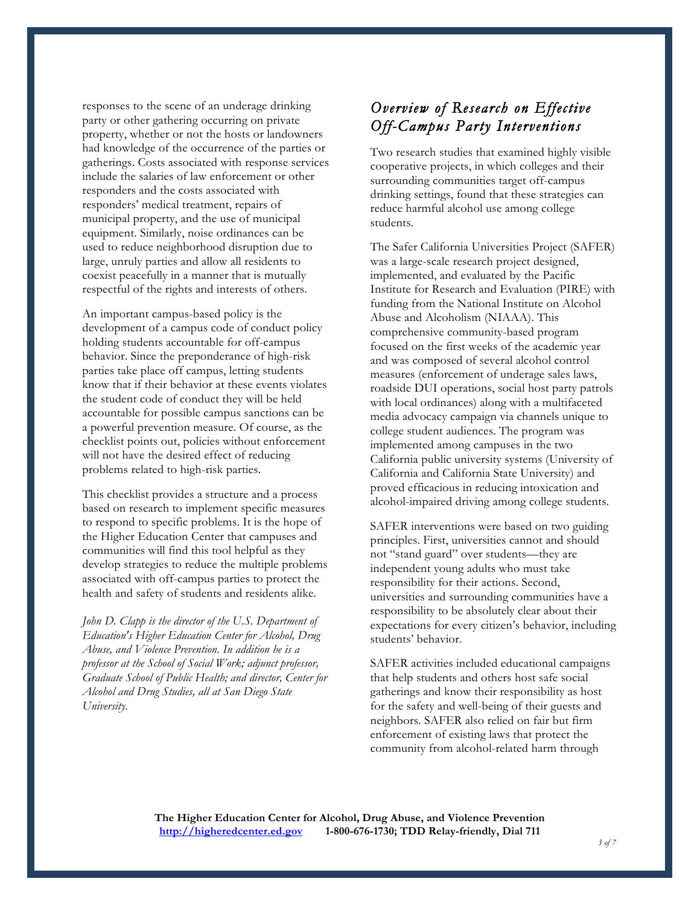responses to the scene of an underage drinking party or other gathering occurring on private property, whether or not the hosts or landowners had knowledge of the occurrence of the parties or gatherings. Costs associated with response services include the salaries of law enforcement or other responders and the costs associated with responders' medical treatment, repairs of municipal property, and the use of municipal equipment. Similarly, noise ordinances can be used to reduce neighborhood disruption due to large, unruly parties and allow all residents to coexist peacefully in a manner that is mutually respectful of the rights and interests of others.

An important campus-based policy is the development of a campus code of conduct policy holding students accountable for off-campus behavior. Since the preponderance of high-risk parties take place off campus, letting students know that if their behavior at these events violates the student code of conduct they will be held accountable for possible campus sanctions can be a powerful prevention measure. Of course, as the checklist points out, policies without enforcement will not have the desired effect of reducing problems related to high-risk parties.

This checklist provides a structure and a process based on research to implement specific measures to respond to specific problems. It is the hope of the Higher Education Center that campuses and communities will find this tool helpful as they develop strategies to reduce the multiple problems associated with off-campus parties to protect the health and safety of students and residents alike.

*John D. Clapp is the director of the U.S. Department of Education's Higher Education Center for Alcohol, Drug Abuse, and Violence Prevention. In addition he is a professor at the School of Social Work; adjunct professor, Graduate School of Public Health; and director, Center for Alcohol and Drug Studies, all at San Diego State University.*

## *Overview of Research on Effective Off-Campus Party Interventions*

Two research studies that examined highly visible cooperative projects, in which colleges and their surrounding communities target off-campus drinking settings, found that these strategies can reduce harmful alcohol use among college students.

The Safer California Universities Project (SAFER) was a large-scale research project designed, implemented, and evaluated by the Pacific Institute for Research and Evaluation (PIRE) with funding from the National Institute on Alcohol Abuse and Alcoholism (NIAAA). This comprehensive community-based program focused on the first weeks of the academic year and was composed of several alcohol control measures (enforcement of underage sales laws, roadside DUI operations, social host party patrols with local ordinances) along with a multifaceted media advocacy campaign via channels unique to college student audiences. The program was implemented among campuses in the two California public university systems (University of California and California State University) and proved efficacious in reducing intoxication and alcohol-impaired driving among college students.

SAFER interventions were based on two guiding principles. First, universities cannot and should not "stand guard" over students—they are independent young adults who must take responsibility for their actions. Second, universities and surrounding communities have a responsibility to be absolutely clear about their expectations for every citizen's behavior, including students' behavior.

SAFER activities included educational campaigns that help students and others host safe social gatherings and know their responsibility as host for the safety and well-being of their guests and neighbors. SAFER also relied on fair but firm enforcement of existing laws that protect the community from alcohol-related harm through

**The Higher Education Center for Alcohol, Drug Abuse, and Violence Prevention http://higheredcenter.ed.gov 1-800-676-1730; TDD Relay-friendly, Dial 711** *<sup>3</sup> of 7*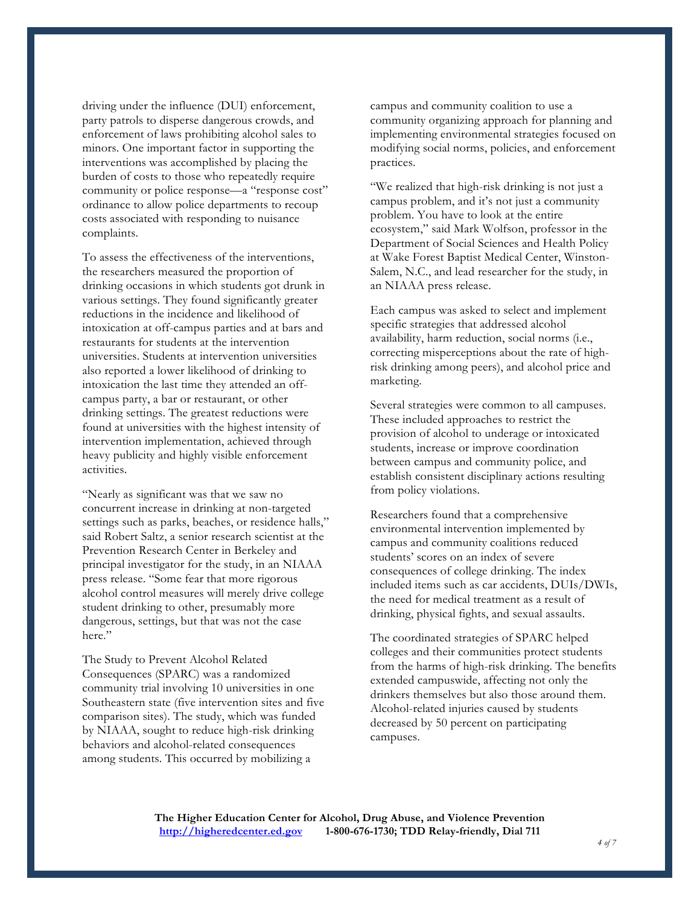driving under the influence (DUI) enforcement, party patrols to disperse dangerous crowds, and enforcement of laws prohibiting alcohol sales to minors. One important factor in supporting the interventions was accomplished by placing the burden of costs to those who repeatedly require community or police response—a "response cost" ordinance to allow police departments to recoup costs associated with responding to nuisance complaints.

To assess the effectiveness of the interventions, the researchers measured the proportion of drinking occasions in which students got drunk in various settings. They found significantly greater reductions in the incidence and likelihood of intoxication at off-campus parties and at bars and restaurants for students at the intervention universities. Students at intervention universities also reported a lower likelihood of drinking to intoxication the last time they attended an offcampus party, a bar or restaurant, or other drinking settings. The greatest reductions were found at universities with the highest intensity of intervention implementation, achieved through heavy publicity and highly visible enforcement activities.

"Nearly as significant was that we saw no concurrent increase in drinking at non-targeted settings such as parks, beaches, or residence halls," said Robert Saltz, a senior research scientist at the Prevention Research Center in Berkeley and principal investigator for the study, in an NIAAA press release. "Some fear that more rigorous alcohol control measures will merely drive college student drinking to other, presumably more dangerous, settings, but that was not the case here."

The Study to Prevent Alcohol Related Consequences (SPARC) was a randomized community trial involving 10 universities in one Southeastern state (five intervention sites and five comparison sites). The study, which was funded by NIAAA, sought to reduce high-risk drinking behaviors and alcohol-related consequences among students. This occurred by mobilizing a

campus and community coalition to use a community organizing approach for planning and implementing environmental strategies focused on modifying social norms, policies, and enforcement practices.

"We realized that high-risk drinking is not just a campus problem, and it's not just a community problem. You have to look at the entire ecosystem," said Mark Wolfson, professor in the Department of Social Sciences and Health Policy at Wake Forest Baptist Medical Center, Winston-Salem, N.C., and lead researcher for the study, in an NIAAA press release.

Each campus was asked to select and implement specific strategies that addressed alcohol availability, harm reduction, social norms (i.e., correcting misperceptions about the rate of highrisk drinking among peers), and alcohol price and marketing.

Several strategies were common to all campuses. These included approaches to restrict the provision of alcohol to underage or intoxicated students, increase or improve coordination between campus and community police, and establish consistent disciplinary actions resulting from policy violations.

Researchers found that a comprehensive environmental intervention implemented by campus and community coalitions reduced students' scores on an index of severe consequences of college drinking. The index included items such as car accidents, DUIs/DWIs, the need for medical treatment as a result of drinking, physical fights, and sexual assaults.

The coordinated strategies of SPARC helped colleges and their communities protect students from the harms of high-risk drinking. The benefits extended campuswide, affecting not only the drinkers themselves but also those around them. Alcohol-related injuries caused by students decreased by 50 percent on participating campuses.

**The Higher Education Center for Alcohol, Drug Abuse, and Violence Prevention http://higheredcenter.ed.gov 1-800-676-1730; TDD Relay-friendly, Dial 711** *<sup>4</sup> of 7*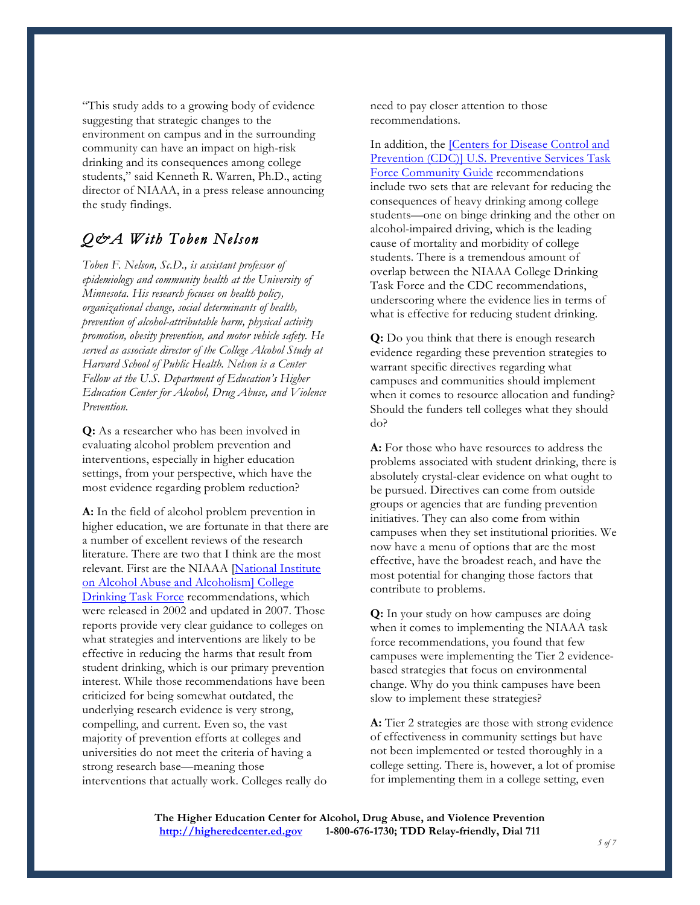"This study adds to a growing body of evidence suggesting that strategic changes to the environment on campus and in the surrounding community can have an impact on high-risk drinking and its consequences among college students," said Kenneth R. Warren, Ph.D., acting director of NIAAA, in a press release announcing the study findings.

## *Q&A With Toben Nelson*

*Toben F. Nelson, Sc.D., is assistant professor of epidemiology and community health at the University of Minnesota. His research focuses on health policy, organizational change, social determinants of health, prevention of alcohol-attributable harm, physical activity promotion, obesity prevention, and motor vehicle safety. He served as associate director of the College Alcohol Study at Harvard School of Public Health. Nelson is a Center Fellow at the U.S. Department of Education's Higher Education Center for Alcohol, Drug Abuse, and Violence Prevention.*

**Q:** As a researcher who has been involved in evaluating alcohol problem prevention and interventions, especially in higher education settings, from your perspective, which have the most evidence regarding problem reduction?

**A:** In the field of alcohol problem prevention in higher education, we are fortunate in that there are a number of excellent reviews of the research literature. There are two that I think are the most relevant. First are the NIAAA [National Institute on Alcohol Abuse and Alcoholism] College Drinking Task Force recommendations, which were released in 2002 and updated in 2007. Those reports provide very clear guidance to colleges on what strategies and interventions are likely to be effective in reducing the harms that result from student drinking, which is our primary prevention interest. While those recommendations have been criticized for being somewhat outdated, the underlying research evidence is very strong, compelling, and current. Even so, the vast majority of prevention efforts at colleges and universities do not meet the criteria of having a strong research base—meaning those interventions that actually work. Colleges really do

need to pay closer attention to those recommendations.

In addition, the [Centers for Disease Control and Prevention (CDC)] U.S. Preventive Services Task Force Community Guide recommendations include two sets that are relevant for reducing the consequences of heavy drinking among college students—one on binge drinking and the other on alcohol-impaired driving, which is the leading cause of mortality and morbidity of college students. There is a tremendous amount of overlap between the NIAAA College Drinking Task Force and the CDC recommendations, underscoring where the evidence lies in terms of what is effective for reducing student drinking.

**Q:** Do you think that there is enough research evidence regarding these prevention strategies to warrant specific directives regarding what campuses and communities should implement when it comes to resource allocation and funding? Should the funders tell colleges what they should do?

**A:** For those who have resources to address the problems associated with student drinking, there is absolutely crystal-clear evidence on what ought to be pursued. Directives can come from outside groups or agencies that are funding prevention initiatives. They can also come from within campuses when they set institutional priorities. We now have a menu of options that are the most effective, have the broadest reach, and have the most potential for changing those factors that contribute to problems.

**Q:** In your study on how campuses are doing when it comes to implementing the NIAAA task force recommendations, you found that few campuses were implementing the Tier 2 evidencebased strategies that focus on environmental change. Why do you think campuses have been slow to implement these strategies?

**A:** Tier 2 strategies are those with strong evidence of effectiveness in community settings but have not been implemented or tested thoroughly in a college setting. There is, however, a lot of promise for implementing them in a college setting, even

**The Higher Education Center for Alcohol, Drug Abuse, and Violence Prevention http://higheredcenter.ed.gov 1-800-676-1730; TDD Relay-friendly, Dial 711** *<sup>5</sup> of 7*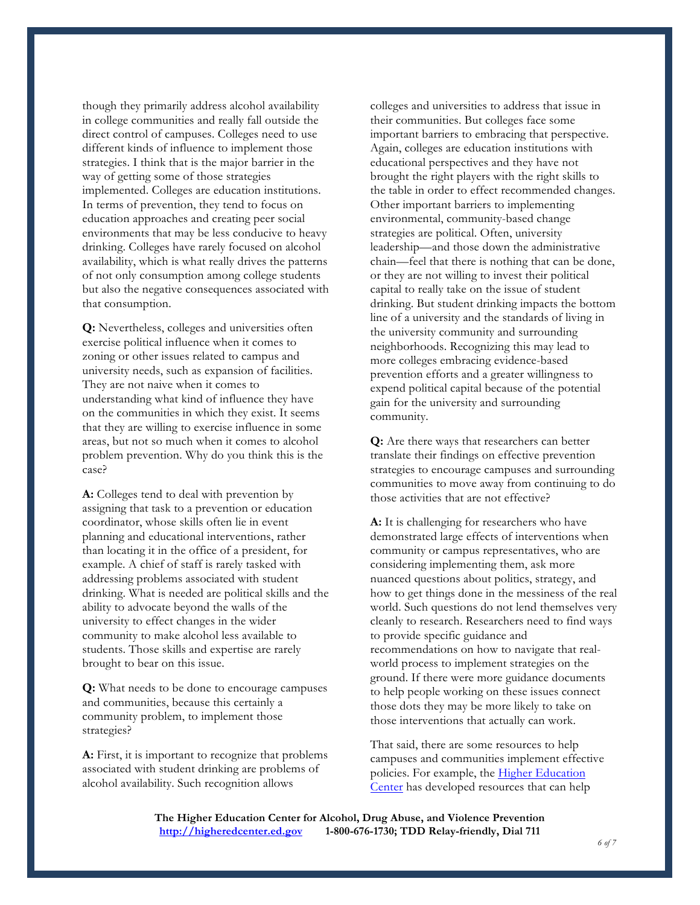though they primarily address alcohol availability in college communities and really fall outside the direct control of campuses. Colleges need to use different kinds of influence to implement those strategies. I think that is the major barrier in the way of getting some of those strategies implemented. Colleges are education institutions. In terms of prevention, they tend to focus on education approaches and creating peer social environments that may be less conducive to heavy drinking. Colleges have rarely focused on alcohol availability, which is what really drives the patterns of not only consumption among college students but also the negative consequences associated with that consumption.

**Q:** Nevertheless, colleges and universities often exercise political influence when it comes to zoning or other issues related to campus and university needs, such as expansion of facilities. They are not naive when it comes to understanding what kind of influence they have on the communities in which they exist. It seems that they are willing to exercise influence in some areas, but not so much when it comes to alcohol problem prevention. Why do you think this is the case?

**A:** Colleges tend to deal with prevention by assigning that task to a prevention or education coordinator, whose skills often lie in event planning and educational interventions, rather than locating it in the office of a president, for example. A chief of staff is rarely tasked with addressing problems associated with student drinking. What is needed are political skills and the ability to advocate beyond the walls of the university to effect changes in the wider community to make alcohol less available to students. Those skills and expertise are rarely brought to bear on this issue.

**Q:** What needs to be done to encourage campuses and communities, because this certainly a community problem, to implement those strategies?

**A:** First, it is important to recognize that problems associated with student drinking are problems of alcohol availability. Such recognition allows

colleges and universities to address that issue in their communities. But colleges face some important barriers to embracing that perspective. Again, colleges are education institutions with educational perspectives and they have not brought the right players with the right skills to the table in order to effect recommended changes. Other important barriers to implementing environmental, community-based change strategies are political. Often, university leadership—and those down the administrative chain—feel that there is nothing that can be done, or they are not willing to invest their political capital to really take on the issue of student drinking. But student drinking impacts the bottom line of a university and the standards of living in the university community and surrounding neighborhoods. Recognizing this may lead to more colleges embracing evidence-based prevention efforts and a greater willingness to expend political capital because of the potential gain for the university and surrounding community.

**Q:** Are there ways that researchers can better translate their findings on effective prevention strategies to encourage campuses and surrounding communities to move away from continuing to do those activities that are not effective?

**A:** It is challenging for researchers who have demonstrated large effects of interventions when community or campus representatives, who are considering implementing them, ask more nuanced questions about politics, strategy, and how to get things done in the messiness of the real world. Such questions do not lend themselves very cleanly to research. Researchers need to find ways to provide specific guidance and recommendations on how to navigate that realworld process to implement strategies on the ground. If there were more guidance documents to help people working on these issues connect those dots they may be more likely to take on those interventions that actually can work.

That said, there are some resources to help campuses and communities implement effective policies. For example, the **Higher Education** Center has developed resources that can help

**The Higher Education Center for Alcohol, Drug Abuse, and Violence Prevention http://higheredcenter.ed.gov 1-800-676-1730; TDD Relay-friendly, Dial 711** *<sup>6</sup> of 7*